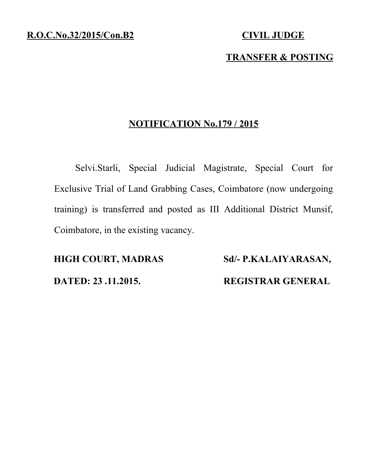### **TRANSFER & POSTING**

#### **NOTIFICATION No.179 / 2015**

Selvi.Starli, Special Judicial Magistrate, Special Court for Exclusive Trial of Land Grabbing Cases, Coimbatore (now undergoing training) is transferred and posted as III Additional District Munsif, Coimbatore, in the existing vacancy.

**HIGH COURT, MADRAS Sd/- P.KALAIYARASAN, DATED: 23 .11.2015. REGISTRAR GENERAL**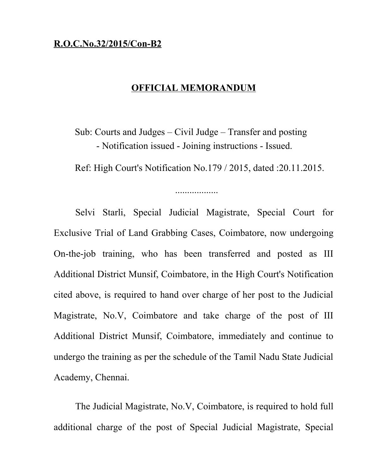### **R.O.C.No.32/2015/Con-B2**

#### **OFFICIAL MEMORANDUM**

Sub: Courts and Judges – Civil Judge – Transfer and posting - Notification issued - Joining instructions - Issued.

Ref: High Court's Notification No.179 / 2015, dated :20.11.2015.

..................

Selvi Starli, Special Judicial Magistrate, Special Court for Exclusive Trial of Land Grabbing Cases, Coimbatore, now undergoing On-the-job training, who has been transferred and posted as III Additional District Munsif, Coimbatore, in the High Court's Notification cited above, is required to hand over charge of her post to the Judicial Magistrate, No.V, Coimbatore and take charge of the post of III Additional District Munsif, Coimbatore, immediately and continue to undergo the training as per the schedule of the Tamil Nadu State Judicial Academy, Chennai.

The Judicial Magistrate, No.V, Coimbatore, is required to hold full additional charge of the post of Special Judicial Magistrate, Special